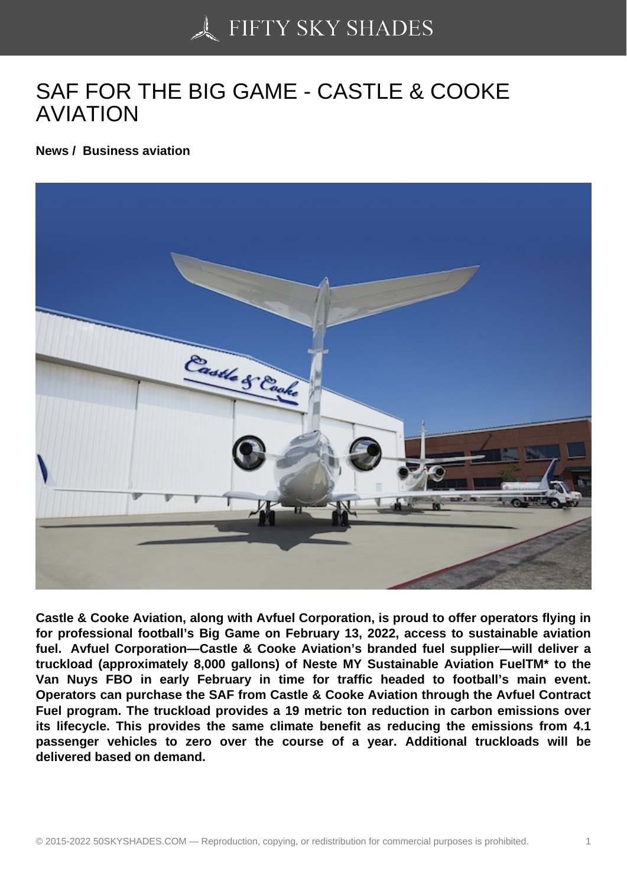## [SAF FOR THE BIG GA](https://50skyshades.com)ME - CASTLE & COOKE AVIATION

News / Business aviation

Castle & Cooke Aviation, along with Avfuel Corporation, is proud to offer operators flying in for professional football's Big Game on February 13, 2022, access to sustainable aviation fuel. Avfuel Corporation—Castle & Cooke Aviation's branded fuel supplier—will deliver a truckload (approximately 8,000 gallons) of Neste MY Sustainable Aviation FuelTM\* to the Van Nuys FBO in early February in time for traffic headed to football's main event. Operators can purchase the SAF from Castle & Cooke Aviation through the Avfuel Contract Fuel program. The truckload provides a 19 metric ton reduction in carbon emissions over its lifecycle. This provides the same climate benefit as reducing the emissions from 4.1 passenger vehicles to zero over the course of a year. Additional truckloads will be delivered based on demand.